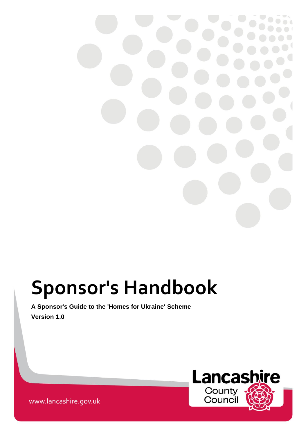# **Sponsor's Handbook**

# **A Sponsor's Guide to the 'Homes for Ukraine' Scheme Version 1.0**



www.lancashire.gov.uk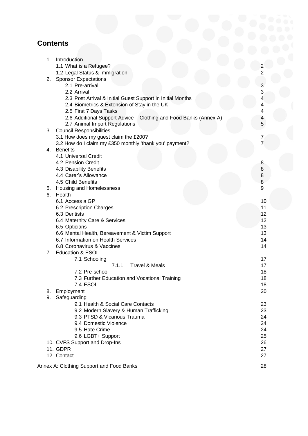# **Contents**

| 1. | Introduction                                                               |                     |
|----|----------------------------------------------------------------------------|---------------------|
|    | 1.1 What is a Refugee?                                                     | $\overline{2}$      |
|    | 1.2 Legal Status & Immigration                                             | $\overline{2}$      |
| 2. | <b>Sponsor Expectations</b>                                                |                     |
|    | 2.1 Pre-arrival                                                            | 3                   |
|    | 2.2 Arrival                                                                | 3                   |
|    | 2.3 Post Arrival & Initial Guest Support in Initial Months                 | 4                   |
|    | 2.4 Biometrics & Extension of Stay in the UK                               | 4                   |
|    | 2.5 First 7 Days Tasks                                                     | 4                   |
|    | 2.6 Additional Support Advice - Clothing and Food Banks (Annex A)          | 4                   |
|    | 2.7 Animal Import Regulations                                              | 5                   |
| 3. | <b>Council Responsibilities</b>                                            |                     |
|    | 3.1 How does my guest claim the £200?                                      | 7<br>$\overline{7}$ |
|    | 3.2 How do I claim my £350 monthly 'thank you' payment?<br><b>Benefits</b> |                     |
| 4. | 4.1 Universal Credit                                                       |                     |
|    | 4.2 Pension Credit                                                         |                     |
|    | 4.3 Disability Benefits                                                    | 8<br>8              |
|    | 4.4 Carer's Allowance                                                      | 8                   |
|    | 4.5 Child Benefits                                                         | 8                   |
|    | 5. Housing and Homelessness                                                | 9                   |
| 6. | Health                                                                     |                     |
|    | 6.1 Access a GP                                                            | 10                  |
|    | 6.2 Prescription Charges                                                   | 11                  |
|    | 6.3 Dentists                                                               | 12                  |
|    | 6.4 Maternity Care & Services                                              | 12                  |
|    | 6.5 Opticians                                                              | 13                  |
|    | 6.6 Mental Health, Bereavement & Victim Support                            | 13                  |
|    | 6.7 Information on Health Services                                         | 14                  |
|    | 6.8 Coronavirus & Vaccines                                                 | 14                  |
| 7. | <b>Education &amp; ESOL</b>                                                |                     |
|    | 7.1 Schooling                                                              | 17                  |
|    | 7.1.1<br><b>Travel &amp; Meals</b>                                         | 17                  |
|    | 7.2 Pre-school                                                             | 18                  |
|    | 7.3 Further Education and Vocational Training                              | 18                  |
|    | 7.4 ESOL                                                                   | 18                  |
| 8. | Employment                                                                 | 20                  |
| 9. | Safeguarding                                                               |                     |
|    | 9.1 Health & Social Care Contacts                                          | 23                  |
|    | 9.2 Modern Slavery & Human Trafficking                                     | 23                  |
|    | 9.3 PTSD & Vicarious Trauma                                                | 24                  |
|    | 9.4 Domestic Violence<br>9.5 Hate Crime                                    | 24<br>24            |
|    |                                                                            | 25                  |
|    | 9.6 LGBT+ Support<br>10. CVFS Support and Drop-Ins                         | 26                  |
|    | 11. GDPR                                                                   | 27                  |
|    | 12. Contact                                                                | 27                  |
|    |                                                                            |                     |
|    | Annex A: Clothing Support and Food Banks                                   | 28                  |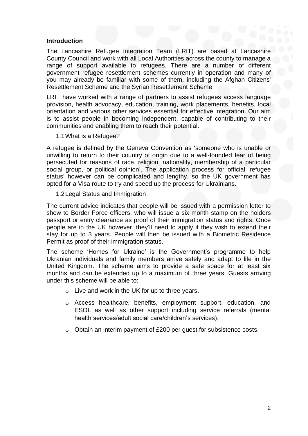#### **Introduction**

The Lancashire Refugee Integration Team (LRIT) are based at Lancashire County Council and work with all Local Authorities across the county to manage a range of support available to refugees. There are a number of different government refugee resettlement schemes currently in operation and many of you may already be familiar with some of them, including the Afghan Citizens' Resettlement Scheme and the Syrian Resettlement Scheme.

LRIT have worked with a range of partners to assist refugees access language provision, health advocacy, education, training, work placements, benefits, local orientation and various other services essential for effective integration. Our aim is to assist people in becoming independent, capable of contributing to their communities and enabling them to reach their potential.

1.1What is a Refugee?

A refugee is defined by the Geneva Convention as 'someone who is unable or unwilling to return to their country of origin due to a well-founded fear of being persecuted for reasons of race, religion, nationality, membership of a particular social group, or political opinion'. The application process for official 'refugee status' however can be complicated and lengthy, so the UK government has opted for a Visa route to try and speed up the process for Ukrainians.

1.2Legal Status and Immigration

The current advice indicates that people will be issued with a permission letter to show to Border Force officers, who will issue a six month stamp on the holders passport or entry clearance as proof of their immigration status and rights. Once people are in the UK however, they'll need to apply if they wish to extend their stay for up to 3 years. People will then be issued with a Biometric Residence Permit as proof of their immigration status.

The scheme 'Homes for Ukraine' is the Government's programme to help Ukranian individuals and family members arrive safely and adapt to life in the United Kingdom. The scheme aims to provide a safe space for at least six months and can be extended up to a maximum of three years. Guests arriving under this scheme will be able to:

- o Live and work in the UK for up to three years.
- o Access healthcare, benefits, employment support, education, and ESOL as well as other support including service referrals (mental health services/adult social care/children's services).
- o Obtain an interim payment of £200 per guest for subsistence costs.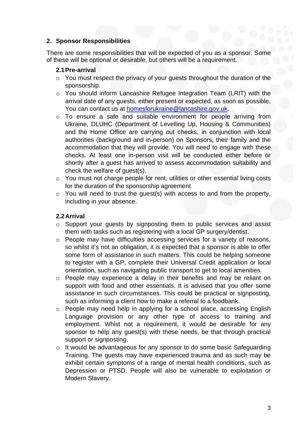# **2. Sponsor Responsibilities**

There are some responsibilities that will be expected of you as a sponsor. Some of these will be optional or desirable, but others will be a requirement.

# **2.1Pre-arrival**

- o You must respect the privacy of your guests throughout the duration of the sponsorship.
- o You should inform Lancashire Refugee Integration Team (LRIT) with the arrival date of any guests, either present or expected, as soon as possible. You can contact us at [homesforukraine@lancashire.gov.uk.](mailto:homesforukraine@lancashire.gov.uk)
- o To ensure a safe and suitable environment for people arriving from Ukraine, DLUHC (Department of Levelling Up, Housing & Communities) and the Home Office are carrying out checks, in conjunction with local authorities (background and in-person) on Sponsors, their family and the accommodation that they will provide. You will need to engage with these checks. At least one in-person visit will be conducted either before or shortly after a guest has arrived to assess accommodation suitability and check the welfare of guest(s).
- o You must not charge people for rent, utilities or other essential living costs for the duration of the sponsorship agreement
- o You will need to trust the guest(s) with access to and from the property, including in your absence.

# **2.2Arrival**

- o Support your guests by signposting them to public services and assist them with tasks such as registering with a local GP surgery/dentist.
- o People may have difficulties accessing services for a variety of reasons, so whilst it's not an obligation, it is expected that a sponsor is able to offer some form of assistance in such matters. This could be helping someone to register with a GP, complete their Universal Credit application or local orientation, such as navigating public transport to get to local amenities.
- o People may experience a delay in their benefits and may be reliant on support with food and other essentials. It is advised that you offer some assistance in such circumstances. This could be practical or signposting, such as informing a client how to make a referral to a foodbank.
- o People may need help in applying for a school place, accessing English Language provision or any other type of access to training and employment. Whist not a requirement, it would be desirable for any sponsor to help any guest(s) with these needs, be that through practical support or signposting.
- o It would be advantageous for any sponsor to do some basic Safeguarding Training. The guests may have experienced trauma and as such may be exhibit certain symptoms of a range of mental health conditions, such as Depression or PTSD. People will also be vulnerable to exploitation or Modern Slavery.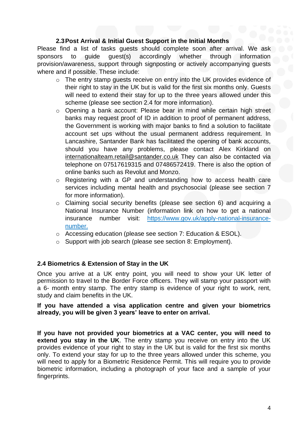# **2.3Post Arrival & Initial Guest Support in the Initial Months**

Please find a list of tasks quests should complete soon after arrival. We ask sponsors to guide guest(s) accordingly whether through information provision/awareness, support through signposting or actively accompanying guests where and if possible. These include:

- o The entry stamp guests receive on entry into the UK provides evidence of their right to stay in the UK but is valid for the first six months only. Guests will need to extend their stay for up to the three years allowed under this scheme (please see section 2.4 for more information).
- o Opening a bank account: Please bear in mind while certain high street banks may request proof of ID in addition to proof of permanent address, the Government is working with major banks to find a solution to facilitate account set ups without the usual permanent address requirement. In Lancashire, Santander Bank has facilitated the opening of bank accounts, should you have any problems, please contact Alex Kirkland on [internationalteam.retail@santander.co.uk](mailto:internationalteam.retail@santander.co.uk) They can also be contacted via telephone on 07517619315 and 07486572419. There is also the option of online banks such as Revolut and Monzo.
- o Registering with a GP and understanding how to access health care services including mental health and psychosocial (please see section 7 for more information).
- o Claiming social security benefits (please see section 6) and acquiring a National Insurance Number (information link on how to get a national insurance number visit: [https://www.gov.uk/apply-national-insurance](https://www.gov.uk/apply-national-insurance-number)[number.](https://www.gov.uk/apply-national-insurance-number)
- o Accessing education (please see section 7: Education & ESOL).
- o Support with job search (please see section 8: Employment).

# **2.4 Biometrics & Extension of Stay in the UK**

Once you arrive at a UK entry point, you will need to show your UK letter of permission to travel to the Border Force officers. They will stamp your passport with a 6- month entry stamp. The entry stamp is evidence of your right to work, rent, study and claim benefits in the UK.

#### **If you have attended a visa application centre and given your biometrics already, you will be given 3 years' leave to enter on arrival.**

**If you have not provided your biometrics at a VAC center, you will need to extend you stay in the UK**. The entry stamp you receive on entry into the UK provides evidence of your right to stay in the UK but is valid for the first six months only. To extend your stay for up to the three years allowed under this scheme, you will need to apply for a Biometric Residence Permit. This will require you to provide biometric information, including a photograph of your face and a sample of your fingerprints.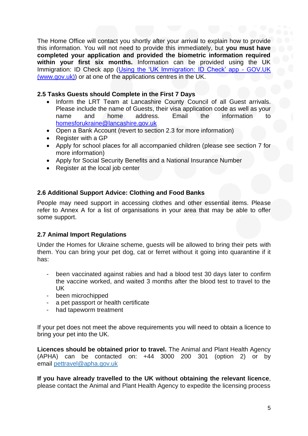The Home Office will contact you shortly after your arrival to explain how to provide this information. You will not need to provide this immediately, but **you must have completed your application and provided the biometric information required within your first six months.** Information can be provided using the UK Immigration: ID Check app [\(Using the 'UK Immigration: ID Check' app -](https://www.gov.uk/guidance/using-the-uk-immigration-id-check-app) GOV.UK [\(www.gov.uk\)\)](https://www.gov.uk/guidance/using-the-uk-immigration-id-check-app) or at one of the applications centres in the UK.

# **2.5 Tasks Guests should Complete in the First 7 Days**

- Inform the LRT Team at Lancashire County Council of all Guest arrivals. Please include the name of Guests, their visa application code as well as your name and home address. Email the information to [homesforukraine@lancashire.gov.uk](mailto:homesforukraine@lancashire.gov.uk)
- Open a Bank Account (revert to section 2.3 for more information)
- Register with a GP
- Apply for school places for all accompanied children (please see section 7 for more information)
- Apply for Social Security Benefits and a National Insurance Number
- Register at the local job center

# **2.6 Additional Support Advice: Clothing and Food Banks**

People may need support in accessing clothes and other essential items. Please refer to Annex A for a list of organisations in your area that may be able to offer some support.

#### **2.7 Animal Import Regulations**

Under the Homes for Ukraine scheme, guests will be allowed to bring their pets with them. You can bring your pet dog, cat or ferret without it going into quarantine if it has:

- been vaccinated against rabies and had a blood test 30 days later to confirm the vaccine worked, and waited 3 months after the blood test to travel to the UK
- been microchipped
- a pet passport or health certificate
- had tapeworm treatment

If your pet does not meet the above requirements you will need to obtain a licence to bring your pet into the UK.

**Licences should be obtained prior to travel.** The Animal and Plant Health Agency (APHA) can be contacted on: +44 3000 200 301 (option 2) or by email [pettravel@apha.gov.uk](mailto:pettravel@apha.gov.uk)

**If you have already travelled to the UK without obtaining the relevant licence**, please contact the Animal and Plant Health Agency to expedite the licensing process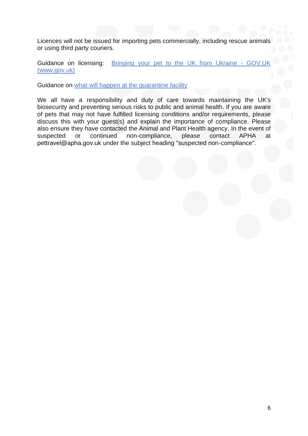Licences will not be issued for importing pets commercially, including rescue animals or using third party couriers.

Guidance on licensing: [Bringing your pet to the UK from Ukraine -](https://www.gov.uk/guidance/bringing-your-pet-to-the-uk-from-ukraine) GOV.UK [\(www.gov.uk\)](https://www.gov.uk/guidance/bringing-your-pet-to-the-uk-from-ukraine)

Guidance on [what will happen at the quarantine facility](https://www.gov.uk/guidance/bringing-your-pet-to-the-uk-from-ukraine#quarantine-facility)

We all have a responsibility and duty of care towards maintaining the UK's biosecurity and preventing serious risks to public and animal health. If you are aware of pets that may not have fulfilled licensing conditions and/or requirements, please discuss this with your guest(s) and explain the importance of compliance. Please also ensure they have contacted the Animal and Plant Health agency. In the event of suspected or continued non-compliance, please contact APHA at pettravel@apha.gov.uk under the subject heading "suspected non-compliance".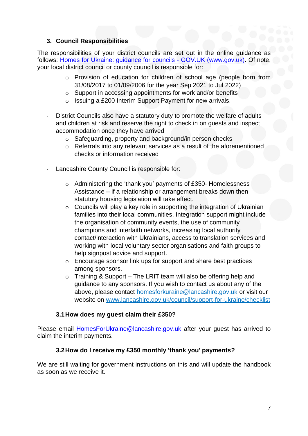# **3. Council Responsibilities**

The responsibilities of your district councils are set out in the online guidance as follows: [Homes for Ukraine: guidance for](https://www.gov.uk/guidance/homes-for-ukraine-guidance-for-councils) councils - GOV.UK (www.gov.uk). Of note, your local district council or county council is responsible for:

- o Provision of education for children of school age (people born from 31/08/2017 to 01/09/2006 for the year Sep 2021 to Jul 2022)
- o Support in accessing appointments for work and/or benefits
- o Issuing a £200 Interim Support Payment for new arrivals.
- District Councils also have a statutory duty to promote the welfare of adults and children at risk and reserve the right to check in on guests and inspect accommodation once they have arrived
	- o Safeguarding, property and background/in person checks
	- o Referrals into any relevant services as a result of the aforementioned checks or information received
- Lancashire County Council is responsible for:
	- o Administering the 'thank you' payments of £350- Homelessness Assistance – if a relationship or arrangement breaks down then statutory housing legislation will take effect.
	- $\circ$  Councils will play a key role in supporting the integration of Ukrainian families into their local communities. Integration support might include the organisation of community events, the use of community champions and interfaith networks, increasing local authority contact/interaction with Ukrainians, access to translation services and working with local voluntary sector organisations and faith groups to help signpost advice and support.
	- o Encourage sponsor link ups for support and share best practices among sponsors.
	- $\circ$  Training & Support The LRIT team will also be offering help and guidance to any sponsors. If you wish to contact us about any of the above, please contact [homesforkuraine@lancashire.gov.uk](about:blank) or visit our website on [www.lancashire.gov.uk/council/support-for-ukraine/checklist](about:blank)

# **3.1How does my guest claim their £350?**

Please email [HomesForUkraine@lancashire.gov.uk](mailto:HomesForUkraine@lancashire.gov.uk) after your guest has arrived to claim the interim payments.

# **3.2How do I receive my £350 monthly 'thank you' payments?**

We are still waiting for government instructions on this and will update the handbook as soon as we receive it.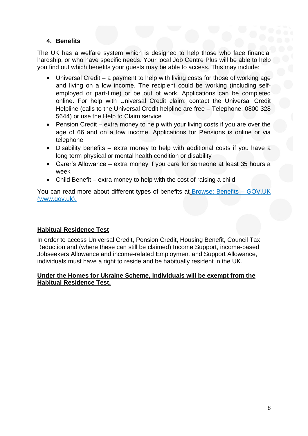# **4. Benefits**

The UK has a welfare system which is designed to help those who face financial hardship, or who have specific needs. Your local Job Centre Plus will be able to help you find out which benefits your guests may be able to access. This may include:

- Universal Credit a payment to help with living costs for those of working age and living on a low income. The recipient could be working (including selfemployed or part-time) or be out of work. Applications can be completed online. For help with Universal Credit claim: contact the Universal Credit Helpline (calls to the Universal Credit helpline are free – Telephone: 0800 328 5644) or use the Help to Claim service
- Pension Credit extra money to help with your living costs if you are over the age of 66 and on a low income. Applications for Pensions is online or via telephone
- Disability benefits extra money to help with additional costs if you have a long term physical or mental health condition or disability
- Carer's Allowance extra money if you care for someone at least 35 hours a week
- Child Benefit extra money to help with the cost of raising a child

You can read more about different types of benefits at [Browse: Benefits –](https://www.gov.uk/browse/benefits) GOV.UK [\(www.gov.uk\).](https://www.gov.uk/browse/benefits)

#### **Habitual Residence Test**

In order to access Universal Credit, Pension Credit, Housing Benefit, Council Tax Reduction and (where these can still be claimed) Income Support, income-based Jobseekers Allowance and income-related Employment and Support Allowance, individuals must have a right to reside and be habitually resident in the UK.

# **Under the Homes for Ukraine Scheme, individuals will be exempt from the Habitual Residence Test.**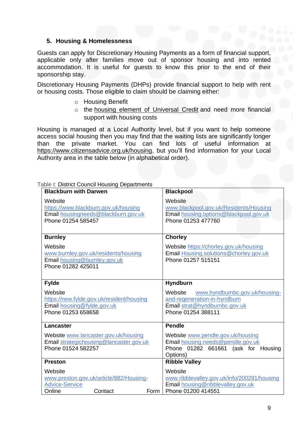# **5. Housing & Homelessness**

Guests can apply for Discretionary Housing Payments as a form of financial support, applicable only after families move out of sponsor housing and into rented accommodation. It is useful for guests to know this prior to the end of their sponsorship stay.

Discretionary Housing Payments (DHPs) provide financial support to help with rent or housing costs. Those eligible to claim should be claiming either:

- o Housing Benefit
- o the [housing element of Universal Credit](https://www.gov.uk/housing-and-universal-credit) and need more financial support with housing costs

Housing is managed at a Local Authority level, but if you want to help someone access social housing then you may find that the waiting lists are significantly longer than the private market. You can find lots of useful information at [https://www.citizensadvice.org.uk/housing,](about:blank) but you'll find information for your Local Authority area in the table below (in alphabetical order).

| able I: District Council Housing Departments                                                                 |                                                                                                                                  |
|--------------------------------------------------------------------------------------------------------------|----------------------------------------------------------------------------------------------------------------------------------|
| <b>Blackburn with Darwen</b>                                                                                 | <b>Blackpool</b>                                                                                                                 |
| Website<br>https://www.blackburn.gov.uk/housing<br>Email housingneeds@blackburn.gov.uk<br>Phone 01254 585457 | Website<br>www.blackpool.gov.uk/Residents/Housing<br>Email housing.options@blackpool.gov.uk<br>Phone 01253 477760                |
| <b>Burnley</b>                                                                                               | <b>Chorley</b>                                                                                                                   |
| Website<br>www.burnley.gov.uk/residents/housing<br>Email housing@burnley.gov.uk<br>Phone 01282 425011        | Website https://chorley.gov.uk/housing<br>Email Housing.solutions@chorley.gov.uk<br>Phone 01257 515151                           |
| <b>Fylde</b>                                                                                                 | <b>Hyndburn</b>                                                                                                                  |
| Website<br>https://new.fylde.gov.uk/resident/housing<br>Email housing@fylde.gov.uk<br>Phone 01253 658658     | Website<br>www.hyndburnbc.gov.uk/housing-<br>and-regeneration-in-hyndburn<br>Email strat@hyndburnbc.gov.uk<br>Phone 01254 388111 |
| <b>Lancaster</b>                                                                                             | <b>Pendle</b>                                                                                                                    |
| Website www.lancaster.gov.uk/housing<br>Email strategichousing@lancaster.gov.uk<br>Phone 01524 582257        | Website www.pendle.gov.uk/housing<br>Email housing.needs@pendle.gov.uk<br>Phone 01282 661661 (ask for Housing<br>Options)        |
| <b>Preston</b>                                                                                               | <b>Ribble Valley</b>                                                                                                             |
| Website<br>www.preston.gov.uk/article/882/Housing-<br><b>Advice-Service</b><br>Online<br>Contact<br>Form     | Website<br>www.ribblevalley.gov.uk/info/200291/housing<br>Email housing@ribblevalley.gov.uk<br>Phone 01200 414551                |

#### Table I: District Council Housing Departments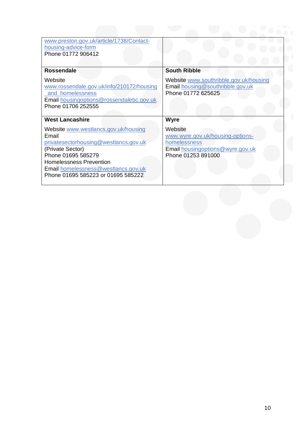| www.preston.gov.uk/article/1738/Contact-<br>housing-advice-form<br>Phone 01772 906412                                                                                                                                                           |                                                                                                                       |
|-------------------------------------------------------------------------------------------------------------------------------------------------------------------------------------------------------------------------------------------------|-----------------------------------------------------------------------------------------------------------------------|
| <b>Rossendale</b>                                                                                                                                                                                                                               | <b>South Ribble</b>                                                                                                   |
| Website<br>www.rossendale.gov.uk/info/210172/housing<br>and homelessness<br>Email housingoptions@rossendalebc.gov.uk<br>Phone 01706 252555                                                                                                      | Website www.southribble.gov.uk/housing<br>Email housing@southribble.gov.uk<br>Phone 01772 625625                      |
| <b>West Lancashire</b>                                                                                                                                                                                                                          | <b>Wyre</b>                                                                                                           |
| Website www.westlancs.gov.uk/housing<br>Email<br>privatesectorhousing@westlancs.gov.uk<br>(Private Sector)<br>Phone 01695 585279<br><b>Homelessness Prevention</b><br>Email homelessness@westlancs.gov.uk<br>Phone 01695 585223 or 01695 585222 | Website<br>www.wyre.gov.uk/housing-options-<br>homelessness<br>Email housingoptions@wyre.gov.uk<br>Phone 01253 891000 |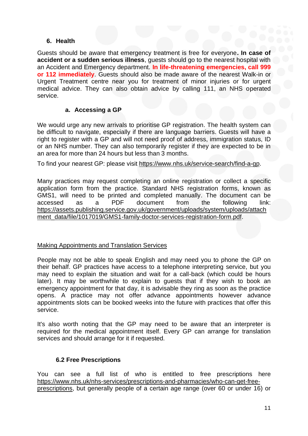# **6. Health**

Guests should be aware that emergency treatment is free for everyone**. In case of accident or a sudden serious illness**, guests should go to the nearest hospital with an Accident and Emergency department. **In life-threatening emergencies, call 999 or 112 immediately**. Guests should also be made aware of the nearest Walk-in or Urgent Treatment centre near you for treatment of minor injuries or for urgent medical advice. They can also obtain advice by calling 111, an NHS operated service.

#### **a. Accessing a GP**

We would urge any new arrivals to prioritise GP registration. The health system can be difficult to navigate, especially if there are language barriers. Guests will have a right to register with a GP and will not need proof of address, immigration status, ID or an NHS number. They can also temporarily register if they are expected to be in an area for more than 24 hours but less than 3 months.

To find your nearest GP: please visit [https://www.nhs.uk/service-search/find-a-gp.](about:blank)

Many practices may request completing an online registration or collect a specific application form from the practice. Standard NHS registration forms, known as GMS1, will need to be printed and completed manually. The document can be accessed as a PDF document from the following link: [https://assets.publishing.service.gov.uk/government/uploads/system/uploads/attach](about:blank) [ment\\_data/file/1017019/GMS1-family-doctor-services-registration-form.pdf.](about:blank)

#### Making Appointments and Translation Services

People may not be able to speak English and may need you to phone the GP on their behalf. GP practices have access to a telephone interpreting service, but you may need to explain the situation and wait for a call-back (which could be hours later). It may be worthwhile to explain to guests that if they wish to book an emergency appointment for that day, it is advisable they ring as soon as the practice opens. A practice may not offer advance appointments however advance appointments slots can be booked weeks into the future with practices that offer this service.

It's also worth noting that the GP may need to be aware that an interpreter is required for the medical appointment itself. Every GP can arrange for translation services and should arrange for it if requested.

#### **6.2 Free Prescriptions**

You can see a full list of who is entitled to free prescriptions here [https://www.nhs.uk/nhs-services/prescriptions-and-pharmacies/who-can-get-free](about:blank)[prescriptions,](about:blank) but generally people of a certain age range (over 60 or under 16) or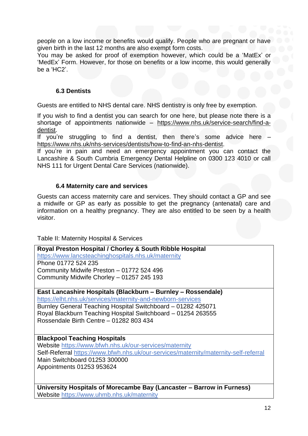people on a low income or benefits would qualify. People who are pregnant or have given birth in the last 12 months are also exempt form costs.

You may be asked for proof of exemption however, which could be a 'MatEx' or 'MedEx' Form. However, for those on benefits or a low income, this would generally be a 'HC2'.

### **6.3 Dentists**

Guests are entitled to NHS dental care. NHS dentistry is only free by exemption.

If you wish to find a dentist you can search for one here, but please note there is a shortage of appointments nationwide – [https://www.nhs.uk/service-search/find-a](about:blank)[dentist.](about:blank)

If you're struggling to find a dentist, then there's some advice here – [https://www.nhs.uk/nhs-services/dentists/how-to-find-an-nhs-dentist.](about:blank)

If you're in pain and need an emergency appointment you can contact the Lancashire & South Cumbria Emergency Dental Helpline on 0300 123 4010 or call NHS 111 for Urgent Dental Care Services (nationwide).

# **6.4 Maternity care and services**

Guests can access maternity care and services. They should contact a GP and see a midwife or GP as early as possible to get the pregnancy (antenatal) care and information on a healthy pregnancy. They are also entitled to be seen by a health visitor.

Table II: Maternity Hospital & Services

#### **Royal Preston Hospital / Chorley & South Ribble Hospital** [https://www.lancsteachinghospitals.nhs.uk/maternity](about:blank) Phone 01772 524 235 Community Midwife Preston – 01772 524 496 Community Midwife Chorley – 01257 245 193

**East Lancashire Hospitals (Blackburn – Burnley – Rossendale)**

[https://elht.nhs.uk/services/maternity-and-newborn-services](about:blank) Burnley General Teaching Hospital Switchboard – 01282 425071 Royal Blackburn Teaching Hospital Switchboard – 01254 263555 Rossendale Birth Centre – 01282 803 434

#### **Blackpool Teaching Hospitals**

Website [https://www.bfwh.nhs.uk/our-services/maternity](about:blank) Self-Referral [https://www.bfwh.nhs.uk/our-services/maternity/maternity-self-referral](about:blank) Main Switchboard 01253 300000 Appointments 01253 953624

**University Hospitals of Morecambe Bay (Lancaster – Barrow in Furness)** Website <https://www.uhmb.nhs.uk/maternity>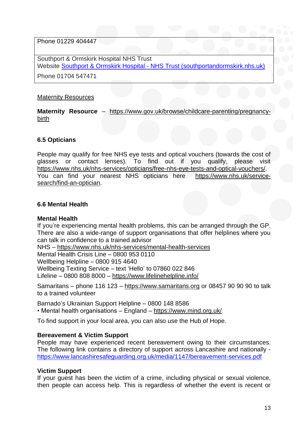Phone 01229 404447

Southport & Ormskirk Hospital NHS Trust Website Southport & Ormskirk Hospital - [NHS Trust \(southportandormskirk.nhs.uk\)](https://www.southportandormskirk.nhs.uk/)

Phone 01704 547471

### Maternity Resources

**Maternity Resource** – [https://www.gov.uk/browse/childcare-parenting/pregnancy](about:blank)[birth](about:blank)

# **6.5 Opticians**

People may qualify for free NHS eye tests and optical vouchers (towards the cost of glasses or contact lenses). To find out if you qualify, please visit [https://www.nhs.uk/nhs-services/opticians/free-nhs-eye-tests-and-optical-vouchers/.](about:blank) You can find your nearest NHS opticians here [https://www.nhs.uk/service](about:blank)[search/find-an-optician.](about:blank)

# **6.6 Mental Health**

#### **Mental Health**

If you're experiencing mental health problems, this can be arranged through the GP. There are also a wide-range of support organisations that offer helplines where you can talk in confidence to a trained advisor

NHS – [https://www.nhs.uk/nhs-services/mental-health-services](about:blank)

Mental Health Crisis Line – 0800 953 0110

Wellbeing Helpline – 0800 915 4640

Wellbeing Texting Service – text 'Hello' to 07860 022 846

Lifeline – 0800 808 8000 – <https://www.lifelinehelpline.info/>

Samaritans – phone 116 123 – [https://www.samaritans.org](about:blank) or 08457 90 90 90 to talk to a trained volunteer

Barnado's Ukrainian Support Helpline – 0800 148 8586

• Mental health organisations – England – <https://www.mind.org.uk/>

To find support in your local area, you can also use the Hub of Hope.

#### **Bereavement & Victim Support**

People may have experienced recent bereavement owing to their circumstances. The following link contains a directory of support across Lancashire and nationally <https://www.lancashiresafeguarding.org.uk/media/1147/bereavement-services.pdf>

#### **Victim Support**

If your guest has been the victim of a crime, including physical or sexual violence, then people can access help. This is regardless of whether the event is recent or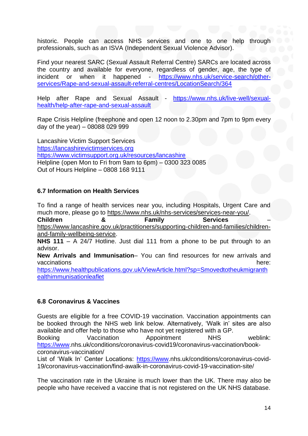historic. People can access NHS services and one to one help through professionals, such as an ISVA (Independent Sexual Violence Advisor).

Find your nearest SARC (Sexual Assault Referral Centre) SARCs are located across the country and available for everyone, regardless of gender, age, the type of incident or when it happened - [https://www.nhs.uk/service-search/other](https://www.nhs.uk/service-search/other-services/Rape-and-sexual-assault-referral-centres/LocationSearch/364)[services/Rape-and-sexual-assault-referral-centres/LocationSearch/364](https://www.nhs.uk/service-search/other-services/Rape-and-sexual-assault-referral-centres/LocationSearch/364)

Help after Rape and Sexual Assault - [https://www.nhs.uk/live-well/sexual](https://www.nhs.uk/live-well/sexual-health/help-after-rape-and-sexual-assault)[health/help-after-rape-and-sexual-assault](https://www.nhs.uk/live-well/sexual-health/help-after-rape-and-sexual-assault)

Rape Crisis Helpline (freephone and open 12 noon to 2.30pm and 7pm to 9pm every day of the year) – 08088 029 999

Lancashire Victim Support Services [https://lancashirevictimservices.org](https://lancashirevictimservices.org/) <https://www.victimsupport.org.uk/resources/lancashire> Helpline (open Mon to Fri from 9am to 6pm) – 0300 323 0085 Out of Hours Helpline – 0808 168 9111

# **6.7 Information on Health Services**

To find a range of health services near you, including Hospitals, Urgent Care and much more, please go to [https://www.nhs.uk/nhs-services/services-near-you/.](about:blank) **Children & Family Services** – [https://www.lancashire.gov.uk/practitioners/supporting-children-and-families/children](about:blank)[and-family-wellbeing-service.](about:blank)

**NHS 111** – A 24/7 Hotline. Just dial 111 from a phone to be put through to an advisor.

**New Arrivals and Immunisation**– You can find resources for new arrivals and vaccinations here: here: here: here: here: here: here: here: here: here: here: here: here: here: here: here: h

[https://www.healthpublications.gov.uk/ViewArticle.html?sp=Smovedtotheukmigranth](https://www.healthpublications.gov.uk/ViewArticle.html?sp=Smovedtotheukmigranthealthimmunisationleaflet) [ealthimmunisationleaflet](https://www.healthpublications.gov.uk/ViewArticle.html?sp=Smovedtotheukmigranthealthimmunisationleaflet)

# **6.8 Coronavirus & Vaccines**

Guests are eligible for a free COVID-19 vaccination. Vaccination appointments can be booked through the NHS web link below. Alternatively, 'Walk in' sites are also available and offer help to those who have not yet registered with a GP.

Booking Vaccination Appointment NHS weblink: [https://www.](https://www/)nhs.uk/conditions/coronavirus-covid19/coronavirus-vaccination/bookcoronavirus-vaccination/

List of 'Walk In' Center Locations: [https://www.](https://www/)nhs.uk/conditions/coronavirus-covid-19/coronavirus-vaccination/find-awalk-in-coronavirus-covid-19-vaccination-site/

The vaccination rate in the Ukraine is much lower than the UK. There may also be people who have received a vaccine that is not registered on the UK NHS database.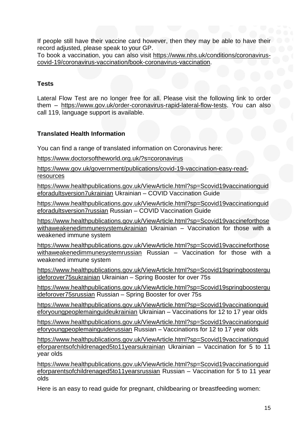If people still have their vaccine card however, then they may be able to have their record adjusted, please speak to your GP.

To book a vaccination, you can also visit [https://www.nhs.uk/conditions/coronavirus](about:blank)[covid-19/coronavirus-vaccination/book-coronavirus-vaccination.](about:blank)

# **Tests**

Lateral Flow Test are no longer free for all. Please visit the following link to order them – [https://www.gov.uk/order-coronavirus-rapid-lateral-flow-tests.](about:blank) You can also call 119, language support is available.

# **Translated Health Information**

You can find a range of translated information on Coronavirus here:

<https://www.doctorsoftheworld.org.uk/?s=coronavirus>

[https://www.gov.uk/government/publications/covid-19-vaccination-easy-read](https://www.gov.uk/government/publications/covid-19-vaccination-easy-read-resources)**[resources](https://www.gov.uk/government/publications/covid-19-vaccination-easy-read-resources)** 

[https://www.healthpublications.gov.uk/ViewArticle.html?sp=Scovid19vaccinationguid](https://www.healthpublications.gov.uk/ViewArticle.html?sp=Scovid19vaccinationguideforadultsversion7ukrainian) [eforadultsversion7ukrainian](https://www.healthpublications.gov.uk/ViewArticle.html?sp=Scovid19vaccinationguideforadultsversion7ukrainian) Ukrainian – COVID Vaccination Guide

[https://www.healthpublications.gov.uk/ViewArticle.html?sp=Scovid19vaccinationguid](https://www.healthpublications.gov.uk/ViewArticle.html?sp=Scovid19vaccinationguideforadultsversion7russian) [eforadultsversion7russian](https://www.healthpublications.gov.uk/ViewArticle.html?sp=Scovid19vaccinationguideforadultsversion7russian) Russian – COVID Vaccination Guide

[https://www.healthpublications.gov.uk/ViewArticle.html?sp=Scovid19vaccineforthose](https://www.healthpublications.gov.uk/ViewArticle.html?sp=Scovid19vaccineforthosewithaweakenedimmunesystemukrainian) [withaweakenedimmunesystemukrainian](https://www.healthpublications.gov.uk/ViewArticle.html?sp=Scovid19vaccineforthosewithaweakenedimmunesystemukrainian) Ukrainian - Vaccination for those with a weakened immune system

[https://www.healthpublications.gov.uk/ViewArticle.html?sp=Scovid19vaccineforthose](https://www.healthpublications.gov.uk/ViewArticle.html?sp=Scovid19vaccineforthosewithaweakenedimmunesystemrussian) [withaweakenedimmunesystemrussian](https://www.healthpublications.gov.uk/ViewArticle.html?sp=Scovid19vaccineforthosewithaweakenedimmunesystemrussian) Russian – Vaccination for those with a weakened immune system

[https://www.healthpublications.gov.uk/ViewArticle.html?sp=Scovid19springboostergu](https://www.healthpublications.gov.uk/ViewArticle.html?sp=Scovid19springboosterguideforover75sukrainian) [ideforover75sukrainian](https://www.healthpublications.gov.uk/ViewArticle.html?sp=Scovid19springboosterguideforover75sukrainian) Ukrainian – Spring Booster for over 75s

[https://www.healthpublications.gov.uk/ViewArticle.html?sp=Scovid19springboostergu](https://www.healthpublications.gov.uk/ViewArticle.html?sp=Scovid19springboosterguideforover75srussian) [ideforover75srussian](https://www.healthpublications.gov.uk/ViewArticle.html?sp=Scovid19springboosterguideforover75srussian) Russian – Spring Booster for over 75s

[https://www.healthpublications.gov.uk/ViewArticle.html?sp=Scovid19vaccinationguid](https://www.healthpublications.gov.uk/ViewArticle.html?sp=Scovid19vaccinationguideforyoungpeoplemainguideukrainian) [eforyoungpeoplemainguideukrainian](https://www.healthpublications.gov.uk/ViewArticle.html?sp=Scovid19vaccinationguideforyoungpeoplemainguideukrainian) Ukrainian – Vaccinations for 12 to 17 year olds

[https://www.healthpublications.gov.uk/ViewArticle.html?sp=Scovid19vaccinationguid](https://www.healthpublications.gov.uk/ViewArticle.html?sp=Scovid19vaccinationguideforyoungpeoplemainguiderussian) [eforyoungpeoplemainguiderussian](https://www.healthpublications.gov.uk/ViewArticle.html?sp=Scovid19vaccinationguideforyoungpeoplemainguiderussian) Russian – Vaccinations for 12 to 17 year olds

[https://www.healthpublications.gov.uk/ViewArticle.html?sp=Scovid19vaccinationguid](https://www.healthpublications.gov.uk/ViewArticle.html?sp=Scovid19vaccinationguideforparentsofchildrenaged5to11yearsukrainian) [eforparentsofchildrenaged5to11yearsukrainian](https://www.healthpublications.gov.uk/ViewArticle.html?sp=Scovid19vaccinationguideforparentsofchildrenaged5to11yearsukrainian) Ukrainian – Vaccination for 5 to 11 year olds

[https://www.healthpublications.gov.uk/ViewArticle.html?sp=Scovid19vaccinationguid](https://www.healthpublications.gov.uk/ViewArticle.html?sp=Scovid19vaccinationguideforparentsofchildrenaged5to11yearsrussian) [eforparentsofchildrenaged5to11yearsrussian](https://www.healthpublications.gov.uk/ViewArticle.html?sp=Scovid19vaccinationguideforparentsofchildrenaged5to11yearsrussian) Russian – Vaccination for 5 to 11 year olds

Here is an easy to read guide for pregnant, childbearing or breastfeeding women: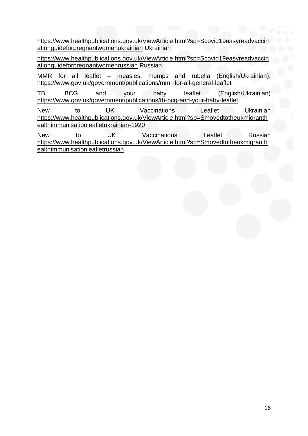[https://www.healthpublications.gov.uk/ViewArticle.html?sp=Scovid19easyreadvaccin](https://www.healthpublications.gov.uk/ViewArticle.html?sp=Scovid19easyreadvaccinationguideforpregnantwomenukrainian) [ationguideforpregnantwomenukrainian](https://www.healthpublications.gov.uk/ViewArticle.html?sp=Scovid19easyreadvaccinationguideforpregnantwomenukrainian) Ukrainian

[https://www.healthpublications.gov.uk/ViewArticle.html?sp=Scovid19easyreadvaccin](https://www.healthpublications.gov.uk/ViewArticle.html?sp=Scovid19easyreadvaccinationguideforpregnantwomenrussian) [ationguideforpregnantwomenrussian](https://www.healthpublications.gov.uk/ViewArticle.html?sp=Scovid19easyreadvaccinationguideforpregnantwomenrussian) Russian

MMR for all leaflet – measles, mumps and rubella (English/Ukrainian): <https://www.gov.uk/government/publications/mmr-for-all-general-leaflet>

TB, BCG and your baby leaflet (English/Ukrainian) <https://www.gov.uk/government/publications/tb-bcg-and-your-baby-leaflet>

New to UK Vaccinations Leaflet Ukrainian [https://www.healthpublications.gov.uk/ViewArticle.html?sp=Smovedtotheukmigranth](https://www.healthpublications.gov.uk/ViewArticle.html?sp=Smovedtotheukmigranthealthimmunisationleafletukrainian-1920) [ealthimmunisationleafletukrainian-1920](https://www.healthpublications.gov.uk/ViewArticle.html?sp=Smovedtotheukmigranthealthimmunisationleafletukrainian-1920)

New to UK Vaccinations Leaflet Russian [https://www.healthpublications.gov.uk/ViewArticle.html?sp=Smovedtotheukmigranth](https://www.healthpublications.gov.uk/ViewArticle.html?sp=Smovedtotheukmigranthealthimmunisationleafletrussian) [ealthimmunisationleafletrussian](https://www.healthpublications.gov.uk/ViewArticle.html?sp=Smovedtotheukmigranthealthimmunisationleafletrussian)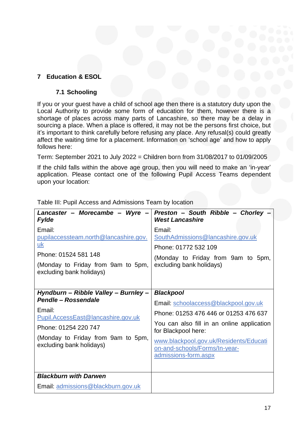# **7 Education & ESOL**

# **7.1 Schooling**

If you or your guest have a child of school age then there is a statutory duty upon the Local Authority to provide some form of education for them, however there is a shortage of places across many parts of Lancashire, so there may be a delay in sourcing a place. When a place is offered, it may not be the persons first choice, but it's important to think carefully before refusing any place. Any refusal(s) could greatly affect the waiting time for a placement. Information on 'school age' and how to apply follows here:

Term: September 2021 to July 2022 = Children born from 31/08/2017 to 01/09/2005

If the child falls within the above age group, then you will need to make an 'in-year' application. Please contact one of the following Pupil Access Teams dependent upon your location:

| Lancaster - Morecambe - Wyre<br><b>Fylde</b>                                                                                                                                                          | Preston - South Ribble - Chorley -<br><b>West Lancashire</b>                                                                                                                                                                                                              |
|-------------------------------------------------------------------------------------------------------------------------------------------------------------------------------------------------------|---------------------------------------------------------------------------------------------------------------------------------------------------------------------------------------------------------------------------------------------------------------------------|
| Email:<br>pupilaccessteam.north@lancashire.gov.<br><u>uk</u><br>Phone: 01524 581 148<br>(Monday to Friday from 9am to 5pm,<br>excluding bank holidays)                                                | Email:<br>SouthAdmissions@lancashire.gov.uk<br>Phone: 01772 532 109<br>(Monday to Friday from 9am to 5pm,<br>excluding bank holidays)                                                                                                                                     |
| Hyndburn - Ribble Valley - Burnley -<br>Pendle - Rossendale<br>Email:<br>Pupil.AccessEast@lancashire.gov.uk<br>Phone: 01254 220 747<br>(Monday to Friday from 9am to 5pm,<br>excluding bank holidays) | <b>Blackpool</b><br>Email: schoolaccess@blackpool.gov.uk<br>Phone: 01253 476 446 or 01253 476 637<br>You can also fill in an online application<br>for Blackpool here:<br>www.blackpool.gov.uk/Residents/Educati<br>on-and-schools/Forms/In-year-<br>admissions-form.aspx |
| <b>Blackburn with Darwen</b><br>Email: admissions@blackburn.gov.uk                                                                                                                                    |                                                                                                                                                                                                                                                                           |
|                                                                                                                                                                                                       |                                                                                                                                                                                                                                                                           |

Table III: Pupil Access and Admissions Team by location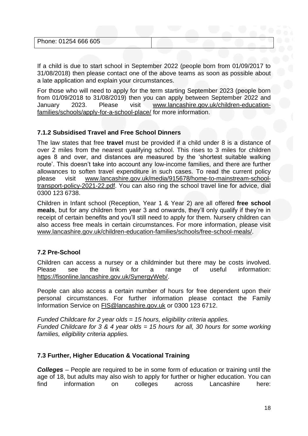| Phone: 01254 666 605 |  |  |
|----------------------|--|--|
|                      |  |  |

If a child is due to start school in September 2022 (people born from 01/09/2017 to 31/08/2018) then please contact one of the above teams as soon as possible about a late application and explain your circumstances.

For those who will need to apply for the term starting September 2023 (people born from 01/09/2018 to 31/08/2019) then you can apply between September 2022 and January 2023. Please visit [www.lancashire.gov.uk/children-education](about:blank)[families/schools/apply-for-a-school-place/](about:blank) for more information.

# **7.1.2 Subsidised Travel and Free School Dinners**

The law states that free **travel** must be provided if a child under 8 is a distance of over 2 miles from the nearest qualifying school. This rises to 3 miles for children ages 8 and over, and distances are measured by the 'shortest suitable walking route'. This doesn't take into account any low-income families, and there are further allowances to soften travel expenditure in such cases. To read the current policy please visit [www.lancashire.gov.uk/media/915678/home-to-mainstream-school](about:blank)[transport-policy-2021-22.pdf.](about:blank) You can also ring the school travel line for advice, dial 0300 123 6738.

Children in Infant school (Reception, Year 1 & Year 2) are all offered **free school meals**, but for any children from year 3 and onwards, they'll only qualify if they're in receipt of certain benefits and you'll still need to apply for them. Nursery children can also access free meals in certain circumstances. For more information, please visit [www.lancashire.gov.uk/children-education-families/schools/free-school-meals/.](about:blank)

# **7.2 Pre-School**

Children can access a nursey or a childminder but there may be costs involved. Please see the link for a range of useful information: [https://fisonline.lancashire.gov.uk/SynergyWeb/.](about:blank)

People can also access a certain number of hours for free dependent upon their personal circumstances. For further information please contact the Family Information Service on [FIS@lancashire.gov.uk](about:blank) or 0300 123 6712.

*Funded Childcare for 2 year olds = 15 hours, eligibility criteria applies. Funded Childcare for 3 & 4 year olds = 15 hours for all, 30 hours for some working families, eligibility criteria applies.*

# **7.3 Further, Higher Education & Vocational Training**

*Colleges* – People are required to be in some form of education or training until the age of 18, but adults may also wish to apply for further or higher education. You can find information on colleges across Lancashire here: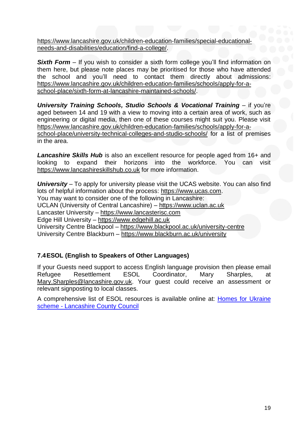[https://www.lancashire.gov.uk/children-education-families/special-educational](about:blank)[needs-and-disabilities/education/find-a-college/.](about:blank)

**Sixth Form** – If you wish to consider a sixth form college you'll find information on them here, but please note places may be prioritised for those who have attended the school and you'll need to contact them directly about admissions: [https://www.lancashire.gov.uk/children-education-families/schools/apply-for-a](about:blank)[school-place/sixth-form-at-lancashire-maintained-schools/.](about:blank)

*University Training Schools, Studio Schools & Vocational Training* – if you're aged between 14 and 19 with a view to moving into a certain area of work, such as engineering or digital media, then one of these courses might suit you. Please visit [https://www.lancashire.gov.uk/children-education-families/schools/apply-for-a](about:blank)[school-place/university-technical-colleges-and-studio-schools/](about:blank) for a list of premises in the area.

*Lancashire Skills Hub* is also an excellent resource for people aged from 16+ and looking to expand their horizons into the workforce. You can visit [https://www.lancashireskillshub.co.uk](about:blank) for more information.

*University* – To apply for university please visit the UCAS website. You can also find lots of helpful information about the process: [https://www.ucas.com.](about:blank) You may want to consider one of the following in Lancashire: UCLAN (University of Central Lancashire) – [https://www.uclan.ac.uk](about:blank) Lancaster University – [https://www.lancasterisc.com](about:blank) Edge Hill University – [https://www.edgehill.ac.uk](about:blank) University Centre Blackpool – [https://www.blackpool.ac.uk/university-centre](about:blank) University Centre Blackburn – [https://www.blackburn.ac.uk/university](about:blank)

# **7.4ESOL (English to Speakers of Other Languages)**

If your Guests need support to access English language provision then please email Refugee Resettlement ESOL Coordinator, Mary Sharples, at Mary. Sharples@lancashire.gov.uk. Your guest could receive an assessment or relevant signposting to local classes.

A comprehensive list of ESOL resources is available online at: [Homes for Ukraine](https://www.lancashire.gov.uk/council/support-for-ukraine/checklist/?msclkid=a7953866bb7111ec8308ab00767d520b)  scheme - [Lancashire County Council](https://www.lancashire.gov.uk/council/support-for-ukraine/checklist/?msclkid=a7953866bb7111ec8308ab00767d520b)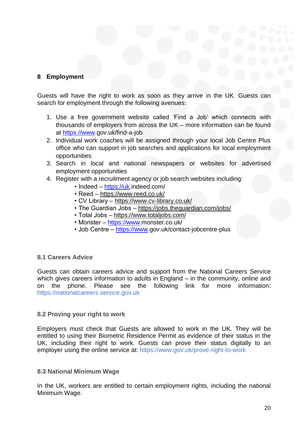# **8 Employment**

Guests will have the right to work as soon as they arrive in the UK. Guests can search for employment through the following avenues:

- 1. Use a free government website called 'Find a Job' which connects with thousands of employers from across the UK – more information can be found at [https://www.](https://www/)gov.uk/find-a-job
- 2. Individual work coaches will be assigned through your local Job Centre Plus office who can support in job searches and applications for local employment opportunities
- 3. Search in local and national newspapers or websites for advertised employment opportunities
- 4. Register with a recruitment agency or job search websites including:
	- Indeed [https://uk.](https://uk/)indeed.com/
	- Reed <https://www.reed.co.uk/>
	- CV Library <https://www.cv-library.co.uk/>
	- The Guardian Jobs <https://jobs.theguardian.com/jobs/>
	- Total Jobs <https://www.totaljobs.com/>
	- Monster [https://www.](https://www/)monster.co.uk/
	- Job Centre [https://www.](https://www/)gov.uk/contact-jobcentre-plus

#### **8.1 Careers Advice**

Guests can obtain careers advice and support from the National Careers Service which gives careers information to adults in England – in the community, online and on the phone. Please see the following link for more information: https://nationalcareers.service.gov.uk

#### **8.2 Proving your right to work**

Employers must check that Guests are allowed to work in the UK. They will be entitled to using their Biometric Residence Permit as evidence of their status in the UK, including their right to work. Guests can prove their status digitally to an employer using the online service at: https://www.gov.uk/prove-right-to-work

#### **8.3 National Minimum Wage**

In the UK, workers are entitled to certain employment rights, including the national Minimum Wage.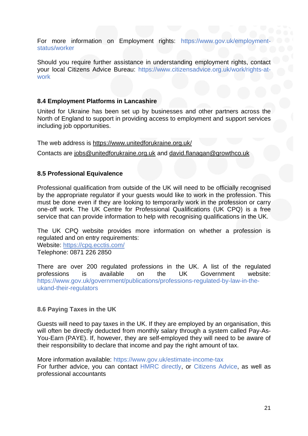For more information on Employment rights: https://www.gov.uk/employment status/worker

Should you require further assistance in understanding employment rights, contact your local Citizens Advice Bureau: https://www.citizensadvice.org.uk/work/rights-atwork

### **8.4 Employment Platforms in Lancashire**

United for Ukraine has been set up by businesses and other partners across the North of England to support in providing access to employment and support services including job opportunities.

The web address is<https://www.unitedforukraine.org.uk/>

Contacts are [jobs@unitedforukraine.org.uk](mailto:jobs@unitedforukraine.org.uk) and [david.flanagan@growthco.uk](mailto:david.flanagan@growthco.uk)

# **8.5 Professional Equivalence**

Professional qualification from outside of the UK will need to be officially recognised by the appropriate regulator if your guests would like to work in the profession. This must be done even if they are looking to temporarily work in the profession or carry one-off work. The UK Centre for Professional Qualifications (UK CPQ) is a free service that can provide information to help with recognising qualifications in the UK.

The UK CPQ website provides more information on whether a profession is regulated and on entry requirements:

Website: <https://cpq.ecctis.com/> Telephone: 0871 226 2850

There are over 200 regulated professions in the UK. A list of the regulated professions is available on the UK Government website: https://www.gov.uk/government/publications/professions-regulated-by-law-in-theukand-their-regulators

#### **8.6 Paying Taxes in the UK**

Guests will need to pay taxes in the UK. If they are employed by an organisation, this will often be directly deducted from monthly salary through a system called Pay-As-You-Earn (PAYE). If, however, they are self-employed they will need to be aware of their responsibility to declare that income and pay the right amount of tax.

More information available: https://www.gov.uk/estimate-income-tax For further advice, you can contact HMRC directly, or Citizens Advice, as well as professional accountants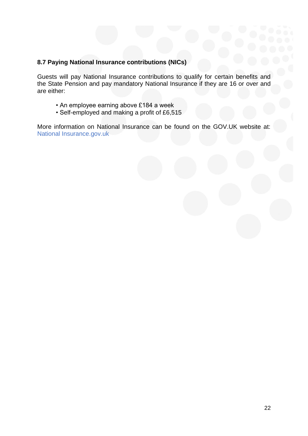# **8.7 Paying National Insurance contributions (NICs)**

Guests will pay National Insurance contributions to qualify for certain benefits and the State Pension and pay mandatory National Insurance if they are 16 or over and are either:

- An employee earning above £184 a week
- Self-employed and making a profit of £6,515

More information on National Insurance can be found on the GOV.UK website at: National Insurance.gov.uk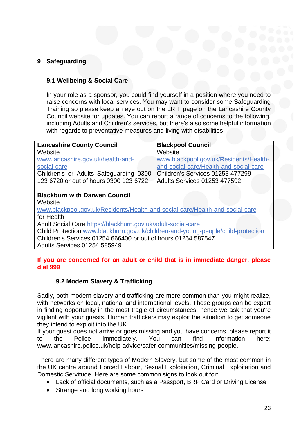# **9 Safeguarding**

# **9.1 Wellbeing & Social Care**

In your role as a sponsor, you could find yourself in a position where you need to raise concerns with local services. You may want to consider some Safeguarding Training so please keep an eye out on the LRIT page on the Lancashire County Council website for updates. You can report a range of concerns to the following, including Adults and Children's services, but there's also some helpful information with regards to preventative measures and living with disabilities:

| <b>Lancashire County Council</b>                                                 | <b>Blackpool Council</b>               |  |  |  |
|----------------------------------------------------------------------------------|----------------------------------------|--|--|--|
| Website                                                                          | Website                                |  |  |  |
| www.lancashire.gov.uk/health-and-                                                | www.blackpool.gov.uk/Residents/Health- |  |  |  |
| social-care                                                                      | and-social-care/Health-and-social-care |  |  |  |
| Children's or Adults Safeguarding 0300                                           | Children's Services 01253 477299       |  |  |  |
| 123 6720 or out of hours 0300 123 6722                                           | <b>Adults Services 01253 477592</b>    |  |  |  |
|                                                                                  |                                        |  |  |  |
| <b>Blackburn with Darwen Council</b>                                             |                                        |  |  |  |
| Website                                                                          |                                        |  |  |  |
| www.blackpool.gov.uk/Residents/Health-and-social-care/Health-and-social-care     |                                        |  |  |  |
| for Health                                                                       |                                        |  |  |  |
| Adult Social Care https://blackburn.gov.uk/adult-social-care                     |                                        |  |  |  |
| Child Protection www.blackburn.gov.uk/children-and-young-people/child-protection |                                        |  |  |  |
| Children's Services 01254 666400 or out of hours 01254 587547                    |                                        |  |  |  |
| <b>Adults Services 01254 585949</b>                                              |                                        |  |  |  |

# **If you are concerned for an adult or child that is in immediate danger, please dial 999**

# **9.2 Modern Slavery & Trafficking**

Sadly, both modern slavery and trafficking are more common than you might realize, with networks on local, national and international levels. These groups can be expert in finding opportunity in the most tragic of circumstances, hence we ask that you're vigilant with your guests. Human traffickers may exploit the situation to get someone they intend to exploit into the UK.

If your guest does not arrive or goes missing and you have concerns, please report it to the Police immediately. You can find information here: [www.lancashire.police.uk/help-advice/safer-communities/missing-people.](about:blank)

There are many different types of Modern Slavery, but some of the most common in the UK centre around Forced Labour, Sexual Exploitation, Criminal Exploitation and Domestic Servitude. Here are some common signs to look out for:

- Lack of official documents, such as a Passport, BRP Card or Driving License
- Strange and long working hours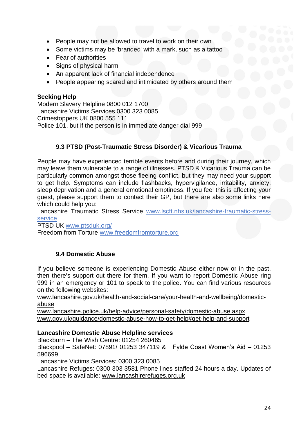- People may not be allowed to travel to work on their own
- Some victims may be 'branded' with a mark, such as a tattoo
- Fear of authorities
- Signs of physical harm
- An apparent lack of financial independence
- People appearing scared and intimidated by others around them

# **Seeking Help**

Modern Slavery Helpline 0800 012 1700 Lancashire Victims Services 0300 323 0085 Crimestoppers UK 0800 555 111 Police 101, but if the person is in immediate danger dial 999

# **9.3 PTSD (Post-Traumatic Stress Disorder) & Vicarious Trauma**

People may have experienced terrible events before and during their journey, which may leave them vulnerable to a range of illnesses. PTSD & Vicarious Trauma can be particularly common amongst those fleeing conflict, but they may need your support to get help. Symptoms can include flashbacks, hypervigilance, irritability, anxiety, sleep deprivation and a general emotional emptiness. If you feel this is affecting your guest, please support them to contact their GP, but there are also some links here which could help you:

Lancashire Traumatic Stress Service [www.lscft.nhs.uk/lancashire-traumatic-stress](about:blank)[service](about:blank)

PTSD UK [www.ptsduk.org/](about:blank)

Freedom from Torture [www.freedomfromtorture.org](about:blank)

# **9.4 Domestic Abuse**

If you believe someone is experiencing Domestic Abuse either now or in the past, then there's support out there for them. If you want to report Domestic Abuse ring 999 in an emergency or 101 to speak to the police. You can find various resources on the following websites:

[www.lancashire.gov.uk/health-and-social-care/your-health-and-wellbeing/domestic](about:blank)[abuse](about:blank)

[www.lancashire.police.uk/help-advice/personal-safety/domestic-abuse.aspx](about:blank) [www.gov.uk/guidance/domestic-abuse-how-to-get-help#get-help-and-support](about:blank#get-help-and-support)

#### **Lancashire Domestic Abuse Helpline services**

Blackburn – The Wish Centre: 01254 260465

Blackpool – SafeNet: 07891/ 01253 347119 & Fylde Coast Women's Aid – 01253 596699

Lancashire Victims Services: 0300 323 0085

Lancashire Refuges: 0300 303 3581 Phone lines staffed 24 hours a day. Updates of bed space is available: [www.lancashirerefuges.org.uk](about:blank)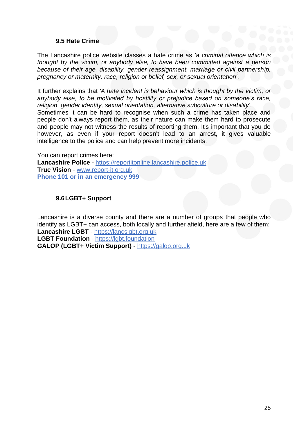#### **9.5 Hate Crime**

The Lancashire police website classes a hate crime as *'a criminal offence which is thought by the victim, or anybody else, to have been committed against a person because of their age, disability, gender reassignment, marriage or civil partnership, pregnancy or maternity, race, religion or belief, sex, or sexual orientation'*.

It further explains that *'A hate incident is behaviour which is thought by the victim, or anybody else, to be motivated by hostility or prejudice based on someone's race, religion, gender identity, sexual orientation, alternative subculture or disability'*. Sometimes it can be hard to recognise when such a crime has taken place and people don't always report them, as their nature can make them hard to prosecute and people may not witness the results of reporting them. It's important that you do however, as even if your report doesn't lead to an arrest, it gives valuable intelligence to the police and can help prevent more incidents.

You can report crimes here: **Lancashire Police** - [https://reportitonline.lancashire.police.uk](about:blank) **True Vision** - [www.report-it.org.uk](about:blank) **Phone 101 or in an emergency 999**

#### **9.6LGBT+ Support**

Lancashire is a diverse county and there are a number of groups that people who identify as LGBT+ can access, both locally and further afield, here are a few of them: **Lancashire LGBT** - [https://lancslgbt.org.uk](about:blank) **LGBT Foundation** - [https://lgbt.foundation](about:blank) **GALOP (LGBT+ Victim Support)** - [https://galop.org.uk](about:blank)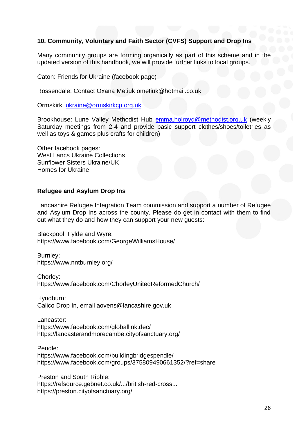# **10. Community, Voluntary and Faith Sector (CVFS) Support and Drop Ins**

Many community groups are forming organically as part of this scheme and in the updated version of this handbook, we will provide further links to local groups.

Caton: Friends for Ukraine (facebook page)

Rossendale: Contact Oxana Metiuk ometiuk@hotmail.co.uk

Ormskirk: [ukraine@ormskirkcp.org.uk](mailto:ukraine@ormskirkcp.org.uk)

Brookhouse: Lune Valley Methodist Hub [emma.holroyd@methodist.org.uk](mailto:emma.holroyd@methodist.org.uk) (weekly Saturday meetings from 2-4 and provide basic support clothes/shoes/toiletries as well as toys & games plus crafts for children)

Other facebook pages: West Lancs Ukraine Collections Sunflower Sisters Ukraine/UK Homes for Ukraine

#### **Refugee and Asylum Drop Ins**

Lancashire Refugee Integration Team commission and support a number of Refugee and Asylum Drop Ins across the county. Please do get in contact with them to find out what they do and how they can support your new guests:

Blackpool, Fylde and Wyre: https://www.facebook.com/GeorgeWilliamsHouse/

Burnley: https://www.nntburnley.org/

Chorley: https://www.facebook.com/ChorleyUnitedReformedChurch/

Hyndburn: Calico Drop In, email aovens@lancashire.gov.uk

Lancaster: https://www.facebook.com/globallink.dec/ https://lancasterandmorecambe.cityofsanctuary.org/

Pendle: https://www.facebook.com/buildingbridgespendle/ https://www.facebook.com/groups/375809490661352/?ref=share

Preston and South Ribble: https://refsource.gebnet.co.uk/.../british-red-cross... https://preston.cityofsanctuary.org/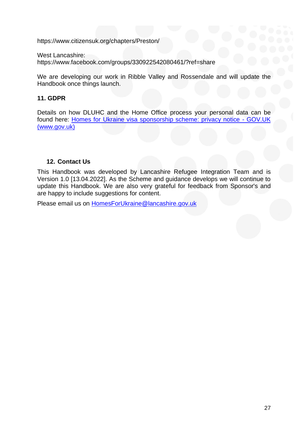https://www.citizensuk.org/chapters/Preston/

West Lancashire: https://www.facebook.com/groups/330922542080461/?ref=share

We are developing our work in Ribble Valley and Rossendale and will update the Handbook once things launch.

# **11. GDPR**

Details on how DLUHC and the Home Office process your personal data can be found here: [Homes for Ukraine visa sponsorship scheme: privacy notice -](https://www.gov.uk/guidance/homes-for-ukraine-visa-sponsorship-scheme-privacy-notice) GOV.UK [\(www.gov.uk\)](https://www.gov.uk/guidance/homes-for-ukraine-visa-sponsorship-scheme-privacy-notice)

# **12. Contact Us**

This Handbook was developed by Lancashire Refugee Integration Team and is Version 1.0 [13.04.2022]. As the Scheme and guidance develops we will continue to update this Handbook. We are also very grateful for feedback from Sponsor's and are happy to include suggestions for content.

Please email us on HomesForUkraine@lancashire.gov.uk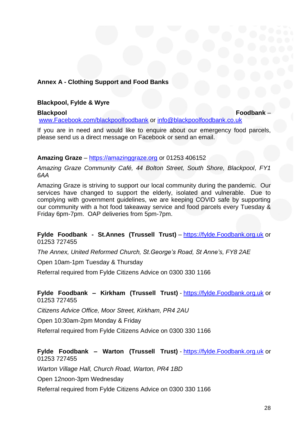# **Annex A - Clothing Support and Food Banks**

#### **Blackpool, Fylde & Wyre**

**Blackpool Foodbank** – [www.Facebook.com/blackpoolfoodbank](http://www.facebook.com/blackpoolfoodbank) or [info@blackpoolfoodbank.co.uk](mailto:info@blackpoolfoodbank.co.uk)

If you are in need and would like to enquire about our emergency food parcels, please send us a direct message on Facebook or send an email.

#### **Amazing Graze** – [https://amazinggraze.org](https://amazinggraze.org/) or 01253 406152

*Amazing Graze Community Café, 44 Bolton Street, South Shore, Blackpool, FY1 6AA*

Amazing Graze is striving to support our local community during the pandemic. Our services have changed to support the elderly, isolated and vulnerable. Due to complying with government guidelines, we are keeping COVID safe by supporting our community with a hot food takeaway service and food parcels every Tuesday & Friday 6pm-7pm. OAP deliveries from 5pm-7pm.

**Fylde Foodbank - St.Annes (Trussell Trust)** – [https://fylde.Foodbank.org.uk](https://fylde.foodbank.org.uk/) or 01253 727455

*The Annex, United Reformed Church, St.George's Road, St Anne's, FY8 2AE*

Open 10am-1pm Tuesday & Thursday

Referral required from Fylde Citizens Advice on 0300 330 1166

# **Fylde Foodbank – Kirkham (Trussell Trust)** - [https://fylde.Foodbank.org.uk](https://fylde.foodbank.org.uk/) or 01253 727455

*Citizens Advice Office, Moor Street, Kirkham, PR4 2AU*

Open 10:30am-2pm Monday & Friday

Referral required from Fylde Citizens Advice on 0300 330 1166

# **Fylde Foodbank – Warton (Trussell Trust)** - [https://fylde.Foodbank.org.uk](https://fylde.foodbank.org.uk/) or 01253 727455

*Warton Village Hall, Church Road, Warton, PR4 1BD*

Open 12noon-3pm Wednesday

Referral required from Fylde Citizens Advice on 0300 330 1166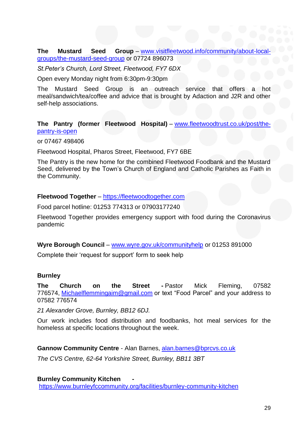**The Mustard Seed Group** – [www.visitfleetwood.info/community/about-local](http://www.visitfleetwood.info/community/about-local-groups/the-mustard-seed-group)[groups/the-mustard-seed-group](http://www.visitfleetwood.info/community/about-local-groups/the-mustard-seed-group) or 07724 896073

*St.Peter's Church, Lord Street, Fleetwood, FY7 6DX*

Open every Monday night from 6:30pm-9:30pm

The Mustard Seed Group is an outreach service that offers a hot meal/sandwich/tea/coffee and advice that is brought by Adaction and J2R and other self-help associations.

**The Pantry (former Fleetwood Hospital)** – [www.fleetwoodtrust.co.uk/post/the](http://www.fleetwoodtrust.co.uk/post/the-pantry-is-open)[pantry-is-open](http://www.fleetwoodtrust.co.uk/post/the-pantry-is-open)

or 07467 498406

Fleetwood Hospital, Pharos Street, Fleetwood, FY7 6BE

The Pantry is the new home for the combined Fleetwood Foodbank and the Mustard Seed, delivered by the Town's Church of England and Catholic Parishes as Faith in the Community.

#### **Fleetwood Together** – [https://fleetwoodtogether.com](https://fleetwoodtogether.com/)

Food parcel hotline: 01253 774313 or 07903177240

Fleetwood Together provides emergency support with food during the Coronavirus pandemic

**Wyre Borough Council** – [www.wyre.gov.uk/communityhelp](http://www.wyre.gov.uk/communityhelp) or 01253 891000

Complete their 'request for support' form to seek help

#### **Burnley**

**The Church on the Street -** Pastor Mick Fleming, 07582 776574, [Michaelflemmingaim@gmail.com](mailto:Michaelflemmingaim@gmail.com) or text "Food Parcel" and your address to 07582 776574

*21 Alexander Grove, Burnley, BB12 6DJ.*

Our work includes food distribution and foodbanks, hot meal services for the homeless at specific locations throughout the week.

**Gannow Community Centre** - Alan Barnes, [alan.barnes@bprcvs.co.uk](mailto:alan.barnes@bprcvs.co.uk)

*The CVS Centre, 62-64 Yorkshire Street, Burnley, BB11 3BT*

**Burnley Community Kitchen**  <https://www.burnleyfccommunity.org/facilities/burnley-community-kitchen>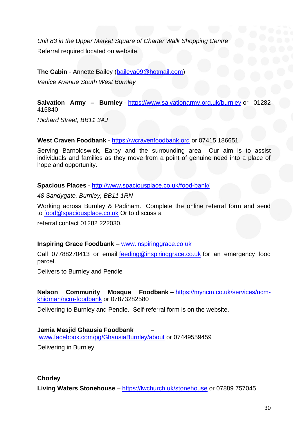*Unit 83 in the Upper Market Square of Charter Walk Shopping Centre* Referral required located on website.

**The Cabin** - Annette Bailey [\(baileya09@hotmail.com\)](mailto:baileya09@hotmail.com)

*Venice Avenue South West Burnley*

**Salvation Army – Burnley** - <https://www.salvationarmy.org.uk/burnley> or 01282 415840

*Richard Street, BB11 3AJ*

**West Craven Foodbank** - [https://wcravenfoodbank.org](https://wcravenfoodbank.org/) or 07415 186651

Serving Barnoldswick, Earby and the surrounding area. Our aim is to assist individuals and families as they move from a point of genuine need into a place of hope and opportunity.

**Spacious Places** - <http://www.spaciousplace.co.uk/food-bank/>

*48 Sandygate, Burnley, BB11 1RN*

Working across Burnley & Padiham. Complete the online referral form and send to [food@spaciousplace.co.uk](mailto:food@spaciousplace.co.uk) Or to discuss a

referral contact 01282 222030.

# **Inspiring Grace Foodbank** – [www.inspiringgrace.co.uk](http://www.inspiringgrace.co.uk/)

Call 07788270413 or email [feeding@inspiringgrace.co.uk](mailto:feeding@inspiringgrace.co.uk) for an emergency food parcel.

Delivers to Burnley and Pendle

**Nelson Community Mosque Foodbank** – [https://myncm.co.uk/services/ncm](https://myncm.co.uk/services/ncm-khidmah/ncm-foodbank)[khidmah/ncm-foodbank](https://myncm.co.uk/services/ncm-khidmah/ncm-foodbank) or 07873282580

Delivering to Burnley and Pendle. Self-referral form is on the website.

**Jamia Masjid Ghausia Foodbank** – [www.facebook.com/pg/GhausiaBurnley/about](http://www.facebook.com/pg/GhausiaBurnley/about) or 07449559459

Delivering in Burnley

**Chorley Living Waters Stonehouse** – <https://lwchurch.uk/stonehouse> or 07889 757045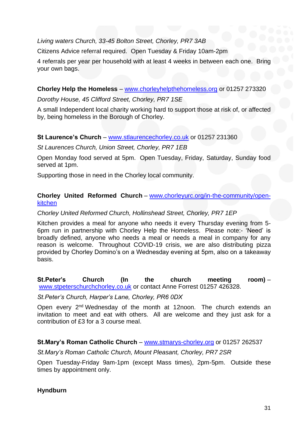# *Living waters Church, 33-45 Bolton Street, Chorley, PR7 3AB*

Citizens Advice referral required. Open Tuesday & Friday 10am-2pm

4 referrals per year per household with at least 4 weeks in between each one. Bring your own bags.

# **Chorley Help the Homeless** – [www.chorleyhelpthehomeless.org](http://www.chorleyhelpthehomeless.org/) or 01257 273320

#### *Dorothy House, 45 Clifford Street, Chorley, PR7 1SE*

A small Independent local charity working hard to support those at risk of, or affected by, being homeless in the Borough of Chorley.

# **St Laurence's Church** – [www.stlaurencechorley.co.uk](http://www.stlaurencechorley.co.uk/) or 01257 231360

# *St Laurences Church, Union Street, Chorley, PR7 1EB*

Open Monday food served at 5pm. Open Tuesday, Friday, Saturday, Sunday food served at 1pm.

Supporting those in need in the Chorley local community.

### **Chorley United Reformed Church** – [www.chorleyurc.org/in-the-community/open](http://www.chorleyurc.org/in-the-community/open-kitchen)[kitchen](http://www.chorleyurc.org/in-the-community/open-kitchen)

# *Chorley United Reformed Church, Hollinshead Street, Chorley, PR7 1EP*

Kitchen provides a meal for anyone who needs it every Thursday evening from 5- 6pm run in partnership with Chorley Help the Homeless. Please note:- 'Need' is broadly defined, anyone who needs a meal or needs a meal in company for any reason is welcome. Throughout COVID-19 crisis, we are also distributing pizza provided by Chorley Domino's on a Wednesday evening at 5pm, also on a takeaway basis.

# **St.Peter's Church (In the church meeting room)** – [www.stpeterschurchchorley.co.uk](http://www.stpeterschurchchorley.co.uk/) or contact Anne Forrest 01257 426328.

#### *St.Peter's Church, Harper's Lane, Chorley, PR6 0DX*

Open every 2<sup>nd</sup> Wednesday of the month at 12noon. The church extends an invitation to meet and eat with others. All are welcome and they just ask for a contribution of £3 for a 3 course meal.

# **St.Mary's Roman Catholic Church** – [www.stmarys-chorley.org](http://www.stmarys-chorley.org/) or 01257 262537

*St.Mary's Roman Catholic Church, Mount Pleasant, Chorley, PR7 2SR*

Open Tuesday-Friday 9am-1pm (except Mass times), 2pm-5pm. Outside these times by appointment only.

# **Hyndburn**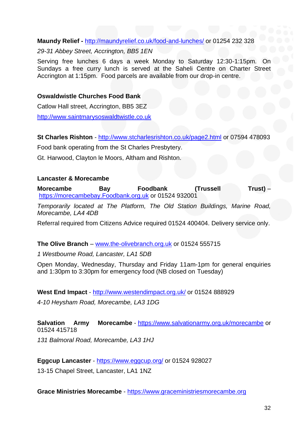# **Maundy Relief -** <http://maundyrelief.co.uk/food-and-lunches/> or 01254 232 328

#### *29-31 Abbey Street, Accrington, BB5 1EN*

Serving free lunches 6 days a week Monday to Saturday 12:30-1:15pm. On Sundays a free curry lunch is served at the Saheli Centre on Charter Street Accrington at 1:15pm. Food parcels are available from our drop-in centre.

#### **Oswaldwistle Churches Food Bank**

Catlow Hall street, Accrington, BB5 3EZ [http://www.saintmarysoswaldtwistle.co.uk](http://www.saintmarysoswaldtwistle.co.uk/)

**St Charles Rishton** - <http://www.stcharlesrishton.co.uk/page2.html> or 07594 478093

Food bank operating from the St Charles Presbytery.

Gt. Harwood, Clayton le Moors, Altham and Rishton.

#### **Lancaster & Morecambe**

**Morecambe Bay Foodbank (Trussell Trust)** – [https://morecambebay.Foodbank.org.uk](https://morecambebay.foodbank.org.uk/) or 01524 932001

*Temporarily located at The Platform, The Old Station Buildings, Marine Road, Morecambe, LA4 4DB*

Referral required from Citizens Advice required 01524 400404. Delivery service only.

#### **The Olive Branch** – [www.the-olivebranch.org.uk](http://www.the-olivebranch.org.uk/) or 01524 555715

*1 Westbourne Road, Lancaster, LA1 5DB*

Open Monday, Wednesday, Thursday and Friday 11am-1pm for general enquiries and 1:30pm to 3:30pm for emergency food (NB closed on Tuesday)

#### **West End Impact** - <http://www.westendimpact.org.uk/> or 01524 888929

*4-10 Heysham Road, Morecambe, LA3 1DG*

# **Salvation Army Morecambe** - <https://www.salvationarmy.org.uk/morecambe> or 01524 415718

*131 Balmoral Road, Morecambe, LA3 1HJ*

**Eggcup Lancaster** - <https://www.eggcup.org/> or 01524 928027

13-15 Chapel Street, Lancaster, LA1 1NZ

**Grace Ministries Morecambe** - [https://www.graceministriesmorecambe.org](https://www.graceministriesmorecambe.org/)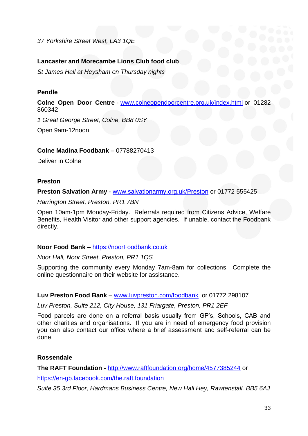*37 Yorkshire Street West, LA3 1QE*

# **Lancaster and Morecambe Lions Club food club**

*St James Hall at Heysham on Thursday nights*

#### **Pendle**

**Colne Open Door Centre** - [www.colneopendoorcentre.org.uk/index.html](http://www.colneopendoorcentre.org.uk/index.html) or 01282 860342

*1 Great George Street, Colne, BB8 0SY*

Open 9am-12noon

#### **Colne Madina Foodbank** – 07788270413

Deliver in Colne

#### **Preston**

**Preston Salvation Army** - [www.salvationarmy.org.uk/Preston](http://www.salvationarmy.org.uk/Preston) or 01772 555425

*Harrington Street, Preston, PR1 7BN*

Open 10am-1pm Monday-Friday. Referrals required from Citizens Advice, Welfare Benefits, Health Visitor and other support agencies. If unable, contact the Foodbank directly.

#### **Noor Food Bank** – [https://noorFoodbank.co.uk](https://noorfoodbank.co.uk/)

*Noor Hall, Noor Street, Preston, PR1 1QS*

Supporting the community every Monday 7am-8am for collections. Complete the online questionnaire on their website for assistance.

#### **Luv Preston Food Bank** – [www.luvpreston.com/foodbank](http://www.luvpreston.com/foodbank) or 01772 298107

*Luv Preston, Suite 212, City House, 131 Friargate, Preston, PR1 2EF*

Food parcels are done on a referral basis usually from GP's, Schools, CAB and other charities and organisations. If you are in need of emergency food provision you can also contact our office where a brief assessment and self-referral can be done.

#### **Rossendale**

**The RAFT Foundation -** <http://www.raftfoundation.org/home/4577385244> or

<https://en-gb.facebook.com/the.raft.foundation>

*Suite 35 3rd Floor, Hardmans Business Centre, New Hall Hey, Rawtenstall, BB5 6AJ*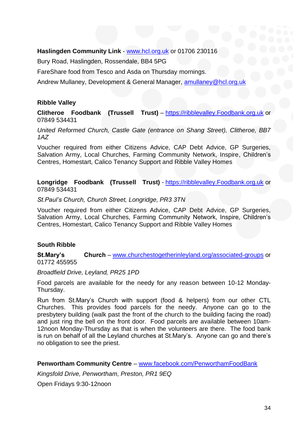# **Haslingden Community Link** - [www.hcl.org.uk](http://www.hcl.org.uk/) or 01706 230116

Bury Road, Haslingden, Rossendale, BB4 5PG

FareShare food from Tesco and Asda on Thursday mornings.

Andrew Mullaney, Development & General Manager, [amullaney@hcl.org.uk](mailto:amullaney@hcl.org.uk)

#### **Ribble Valley**

**Clitheroe Foodbank (Trussell Trust)** – [https://ribblevalley.Foodbank.org.uk](https://ribblevalley.foodbank.org.uk/) or 07849 534431

*United Reformed Church, Castle Gate (entrance on Shang Street), Clitheroe, BB7 1AZ*

Voucher required from either Citizens Advice, CAP Debt Advice, GP Surgeries, Salvation Army, Local Churches, Farming Community Network, Inspire, Children's Centres, Homestart, Calico Tenancy Support and Ribble Valley Homes

**Longridge Foodbank (Trussell Trust)** - [https://ribblevalley.Foodbank.org.uk](https://ribblevalley.foodbank.org.uk/) or 07849 534431

*St.Paul's Church, Church Street, Longridge, PR3 3TN*

Voucher required from either Citizens Advice, CAP Debt Advice, GP Surgeries, Salvation Army, Local Churches, Farming Community Network, Inspire, Children's Centres, Homestart, Calico Tenancy Support and Ribble Valley Homes

#### **South Ribble**

**St.Mary's Church** – [www.churchestogetherinleyland.org/associated-groups](http://www.churchestogetherinleyland.org/associated-groups) or 01772 455955

*Broadfield Drive, Leyland, PR25 1PD*

Food parcels are available for the needy for any reason between 10-12 Monday-Thursday.

Run from St.Mary's Church with support (food & helpers) from our other CTL Churches. This provides food parcels for the needy. Anyone can go to the presbytery building (walk past the front of the church to the building facing the road) and just ring the bell on the front door. Food parcels are available between 10am-12noon Monday-Thursday as that is when the volunteers are there. The food bank is run on behalf of all the Leyland churches at St.Mary's. Anyone can go and there's no obligation to see the priest.

**Penwortham Community Centre** – [www.facebook.com/PenworthamFoodBank](http://www.facebook.com/PenworthamFoodBank)

*Kingsfold Drive, Penwortham, Preston, PR1 9EQ*

Open Fridays 9:30-12noon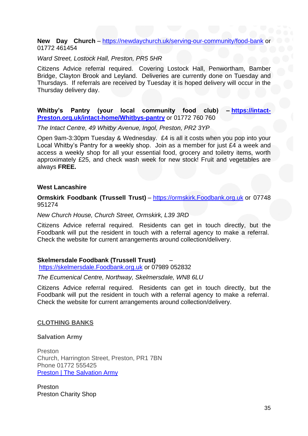#### **New Day Church** – <https://newdaychurch.uk/serving-our-community/food-bank> or 01772 461454

#### *Ward Street, Lostock Hall, Preston, PR5 5HR*

Citizens Advice referral required. Covering Lostock Hall, Penwortham, Bamber Bridge, Clayton Brook and Leyland. Deliveries are currently done on Tuesday and Thursdays. If referrals are received by Tuesday it is hoped delivery will occur in the Thursday delivery day.

#### **Whitby's Pantry (your local community food club) – [https://intact-](https://intact-preston.org.uk/intact-home/Whitbys-pantry)[Preston.org.uk/intact-home/Whitbys-pantry](https://intact-preston.org.uk/intact-home/Whitbys-pantry)** or 01772 760 760

*The Intact Centre, 49 Whitby Avenue, Ingol, Preston, PR2 3YP*

Open 9am-3:30pm Tuesday & Wednesday. £4 is all it costs when you pop into your Local Whitby's Pantry for a weekly shop. Join as a member for just £4 a week and access a weekly shop for all your essential food, grocery and toiletry items, worth approximately £25, and check wash week for new stock! Fruit and vegetables are always **FREE.**

#### **West Lancashire**

**Ormskirk Foodbank (Trussell Trust)** – [https://ormskirk.Foodbank.org.uk](https://ormskirk.foodbank.org.uk/) or 07748 951274

*New Church House, Church Street, Ormskirk, L39 3RD*

Citizens Advice referral required. Residents can get in touch directly, but the Foodbank will put the resident in touch with a referral agency to make a referral. Check the website for current arrangements around collection/delivery.

#### **Skelmersdale Foodbank (Trussell Trust)** –

[https://skelmersdale.Foodbank.org.uk](https://skelmersdale.foodbank.org.uk/) or 07989 052832

#### *The Ecumenical Centre, Northway, Skelmersdale, WN8 6LU*

Citizens Advice referral required. Residents can get in touch directly, but the Foodbank will put the resident in touch with a referral agency to make a referral. Check the website for current arrangements around collection/delivery.

#### **CLOTHING BANKS**

#### **Salvation Army**

Preston Church, Harrington Street, Preston, PR1 7BN Phone 01772 555425 [Preston | The Salvation Army](https://www.salvationarmy.org.uk/preston)

Preston Preston Charity Shop